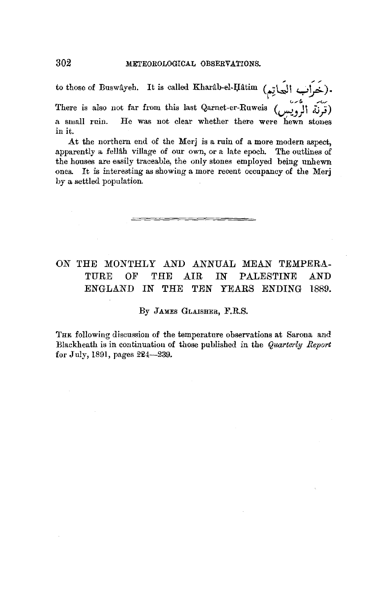to those of Buswâyeh. It is called Kharâb-el-Ḥâtim (به اليَجارِيم There is also not far from this last Qarnet-er-Ruweis  $\left(\begin{matrix}1 & 1 \\ 1 & 1\end{matrix}\right)$ a small ruin. He was not clear whether there were hewn stones in it.

At the northern end of the Merj is a ruin of a more modern aspect, apparently a felldh village of our own, or a late epoch. The outlines of the houses are easily traceable, the only stones employed being unhewn ones. It is interesting as showing a more recent occupancy of the Merj by a settled population.

## ON THE MONTHLY AND ANNUAL MEAN TEMPERA-TURE OF THE AIR IN PALESTINE AND ENGLAND IN THE TEN YEARS ENDING 1889.

By JAMES GLAISHER, F.R.S.

THE following discussion of the temperature observations at Sarona and Blackheath is in continuation of those published in the *Quarterly Report*  for July, 1891, pages 224-239.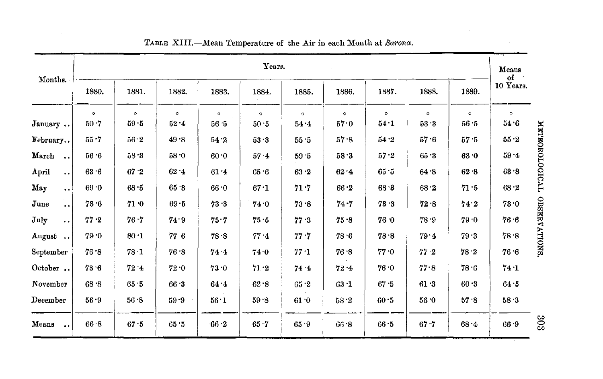|                                        |           |          |          |           | Years.       |         |         |           |             |          | Means<br>of |
|----------------------------------------|-----------|----------|----------|-----------|--------------|---------|---------|-----------|-------------|----------|-------------|
| Months.                                | 1880.     | 1881.    | 1882.    | 1883.     | 1884.        | 1885.   | 1886.   | 1887.     | 1888.       | 1889.    | 10 Years.   |
|                                        | $\bullet$ | $\circ$  | $\circ$  | $\bullet$ | $\mathbf{o}$ | $\circ$ | $\circ$ | $\bullet$ | $\circ$     | $\circ$  | $\circ$     |
| January                                | 50.7      | $59 - 5$ | $52 - 4$ | 56.5      | 50.5         | 54.4    | 57.0    | 54.1      | 53.3        | 56.5     | 54.6        |
| February                               | 55.7      | 56.2     | 49.8     | 54.2      | 53.3         | 55.5    | 57.8    | 54.2      | 57.6        | 57.5     | 55.2        |
| March                                  | 56.6      | 58.3     | 58.0     | 60.0      | 57.4         | 59.5    | 58.3    | 57.2      | 65.3        | 63.0     | $59 - 4$    |
| April<br>$\cdots$                      | 63.6      | 67.2     | 62.4     | $61.4$    | 65.6         | 63.2    | 62.4    | 65.5      | 64.8        | 62.8     | 63.8        |
| May<br>$\bullet$ $\bullet$             | 69.0      | 68.5     | 65.3     | 66.0      | 67.1         | 71.7    | 66.2    | 68.3      | 68.2        | 71.5     | 68.2        |
| June<br>$\ddot{\phantom{a}}$           | 73.6      | 71.0     | 69.5     | 73.3      | 74 0         | 73.8    | 74.7    | 73.3      | 72.8        | 74.2     | 73.0        |
| July<br>$\alpha$ , $\alpha$ , $\alpha$ | $77 - 2$  | 76.7     | 74.9     | 75.7      | 75.5         | 77.3    | 75.8    | 76.0      | 78.9        | 79.0     | 76.6        |
| August                                 | 79.0      | 80.1     | 776      | 78.8      | 77.4         | 77.7    | 78.6    | 78.8      | 79.4        | 79.3     | 78.8        |
| ${\bf September}$                      | 76.8      | $78-1$   | 76.8     | 74.4      | 74.0         | 77.1    | 76.8    | 77.0      | $77\cdot 2$ | 78.2     | 76.6        |
| October                                | 73.6      | 72.4     | 72.0     | 73.0      | 71.2         | 74 4    | 72.4    | 76.0      | 77.8        | 78.6     | 74.1        |
| November                               | 68.8      | 65.5     | 66.3     | 64.4      | 62.8         | 65.2    | 63.1    | 67.5      | 61.3        | $60 - 3$ | 64.5        |
| December                               | 56.9      | 56.8     | 59.9     | 56.1      | 59.8         | 61.0    | 58.2    | 60.5      | 56.0        | 57.8     | 58.3        |
| Means<br>$\bullet$ $\bullet$           | 66.8      | 67.5     | 65.5     | 66.2      | 65.7         | 65.9    | 66.8    | 66.5      | 67.7        | 68.4     | 66.9        |

TABLE XIII.-Mean Temperature of the Air in each Month at Sarona.

808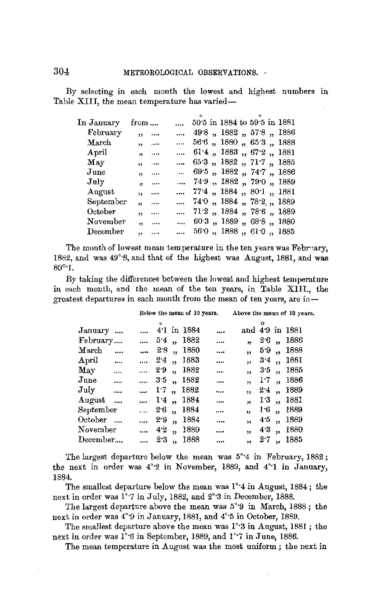By selecting in each month the lowest and highest numbers in Table XIII, the mean temperature has varied-

| In January             | from                          |          | $\cdots$ | 50.5 in 1884 to 59.5 in 1881    |  |  |  |
|------------------------|-------------------------------|----------|----------|---------------------------------|--|--|--|
| February               | ,                             | $\cdots$ |          | $\ldots$ 49.8, 1882, 57.8, 1886 |  |  |  |
| $\operatorname{March}$ | $\ddot{\phantom{1}}$          | $\cdots$ |          | 56.6, 1880, 65.3, 1888          |  |  |  |
| $_{\rm April}$         | ,                             | $\cdots$ |          | $\ldots$ 61.4, 1883, 67.2, 1881 |  |  |  |
| $\rm\,May$             | $\ddot{\phantom{1}}$          | $\cdots$ |          | $\dots$ 65.3, 1882, 71.7, 1885  |  |  |  |
| June                   | $\mathbf{H}$ and $\mathbf{H}$ |          |          | $\ldots$ 69.5, 1882, 74.7, 1886 |  |  |  |
| July                   | $\mathbf{a}$ and $\mathbf{a}$ |          |          | $\ldots$ 74.9, 1882, 79.0, 1889 |  |  |  |
| August                 | $\ddot{\phantom{a}}$          | $\sim$   |          | $\ldots$ 774, 1884, 801, 1881   |  |  |  |
| ${\tt September}$      | y,                            | $\cdots$ |          | $\ldots$ 740, 1884, 782, 1889   |  |  |  |
| October                | ١s,                           |          |          | $\ldots$ 71.2, 1884, 78.6, 1889 |  |  |  |
| November               | $^{\prime\prime}$             | $\sim$   |          | $\dots$ 60.3, 1889, 68.8, 1880  |  |  |  |
| December               | $\mathbf{a}$                  |          |          | $\ldots$ 560, 1888, 610, 1885   |  |  |  |
|                        |                               |          |          |                                 |  |  |  |

The month of lowest mean temperature in the ten years was February, 1882, and was 49°·8, and that of the highest was August, 1881, and was 80°·1.

By taking the differences between the lowest and highest temperature in each month, and the mean of the ten years, in Table XIII., the greatest departures in each month from the mean of ten years, are in -

|                        |          |          |     |                      | Below the mean of 10 years. |          |                         |     |                          | Above the mean of 10 years. |
|------------------------|----------|----------|-----|----------------------|-----------------------------|----------|-------------------------|-----|--------------------------|-----------------------------|
| January                |          |          |     |                      | $ 41$ in 1884               |          |                         |     |                          | and 4.9 in 1881             |
| February               |          |          |     |                      | $\ldots$ 5.4, 1882          |          |                         |     |                          | $2.6$ , 1886                |
| $\operatorname{March}$ | $\cdots$ | $\cdots$ | 2.8 |                      | ,, 1880                     |          | ,                       |     |                          | 59, 1888                    |
| $_{\rm April}$         |          |          |     |                      | $\ldots$ 2.4, 1883          |          | ,,                      |     |                          | $3.4$ , 1881                |
| <b>May</b>             |          |          |     |                      | $\ldots$ 2.9, 1882          | $\cdots$ | ,                       |     |                          | $3.5$ , 1885                |
| $_{\text{June}}$       |          | 35,      |     |                      | 1882                        |          | $\overline{\mathbf{5}}$ |     |                          | $1.7$ , 1886                |
| July                   |          |          |     |                      | $\ldots$ 1.7, 1882          |          | ,                       | 2.4 | $\ddot{\phantom{1}}$     | 1889                        |
| August                 | $\cdots$ |          |     |                      | 14, 1884                    |          | $\overline{\mathbf{r}}$ |     |                          | 13, 1881                    |
| ${\bf September}$      |          | $\cdots$ | 2.6 | $\ddot{\phantom{0}}$ | 1884                        | فأدمد    | $\ddot{ }$              | 1.6 | $\ddot{\phantom{1}}$     | 1889                        |
| October                |          | $\cdots$ | 2.9 | $\ddot{\phantom{a}}$ | 1884                        |          | $\ddot{\phantom{a}}$    | 4.5 | $\overline{\mathbf{5}}$  | 1889                        |
| November               |          | $\cdots$ | 42  | ,,                   | 1889                        |          | $\overline{\mathbf{5}}$ | 4.3 | $\overline{\mathbf{32}}$ | 1880                        |
| $\rm December$         |          | $\cdots$ | 2.3 | $\ddot{\phantom{a}}$ | 1888                        | $\cdots$ | $\overline{\mathbf{1}}$ | 2.7 | $\ddot{\phantom{a}}$     | 1885                        |

The largest departure below the mean was 5°·4 in February, 1882; the next in order was 4°·2 in November, 1889, and 4°·1 in January, 1884.

The smallest departure below the mean was 1°·4 in August, 1884; the next in order was 1°·7 in July, 1882, and 2°·3 in December, 1888.

The largest departure above the mean was 5°·9 in March, 1888; the next in order was 4°·9 in January, 1881, and 4°·5 in October, 1889.

The smallest departure above the mean was 1°·3 in August, 1881 ; the next in order was  $1^{\circ}6$  in September, 1889, and  $1^{\circ}7$  in June, 1886.

The mean temperature in August was the most uniform ; the next in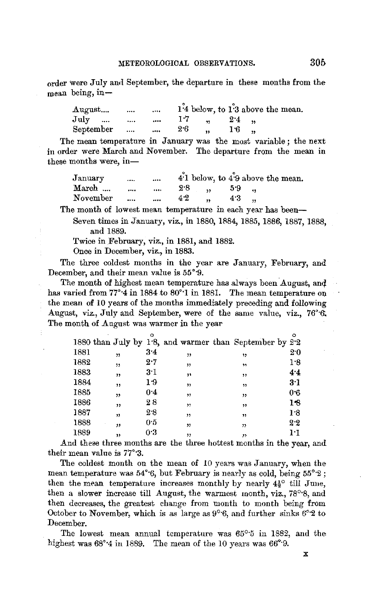order were July aml September, the departure in these months from the mean being, in-

| August        | $\cdots$ | $\cdots$     |     |                       |     | 1'4 below, to 1'3 above the mean. |
|---------------|----------|--------------|-----|-----------------------|-----|-----------------------------------|
| $\text{July}$ | $\cdots$ | $\ldots$ 1.7 |     | $\ldots$ 2.4 $\ldots$ |     |                                   |
| September     |          | $\cdots$     | 2.6 | $\sim$ $\sim$         | 16. |                                   |

The mean temperature in January was the most variable; the next in order were March and November. The departure from the mean in these months were, in-

| January  | 1.111    | $\cdots$ |                    |                          |    | 4.1 below, to 4.9 above the mean. |  |
|----------|----------|----------|--------------------|--------------------------|----|-----------------------------------|--|
| March    | $\cdots$ |          | $\ldots$ 2.8, 5.9, |                          |    |                                   |  |
| November | $\sim$   | $\cdots$ | 4.2                | <b>Contract Contract</b> | 43 |                                   |  |

The month of lowest mean temperature in each year has been--Seven times in January, viz., in 1880, 1884, 1885, 1886, 1887, 1888,

and 1889.

Twice in February, viz., in 1881, and 1882.

Once in December, viz., in 1883.

The three coldest months in the year are January, February, and December, and their mean value is 55°·9.

The month of highest mean temperature hag always been August, and has varied from 77°-4 in 1884 to 80°-1 in 1881. The mean temperature on the mean of 10 years of the months immediately preceding and following August, viz., July and September, were of the same value, viz., 76°·6'. The month of August was warmer in the year

|      |    |     |    |                                                         | $\circ$ |
|------|----|-----|----|---------------------------------------------------------|---------|
|      |    |     |    | 1880 than July by 1.8, and warmer than September by 2.2 |         |
| 1881 | ,  | 3.4 | "  | 12                                                      | 20      |
| 1882 | ,  | 2.7 | ,, | , 1                                                     | 1.8     |
| 1883 | 37 | 31  | ,, | ,,                                                      | 4.4     |
| 1884 | ,, | 1.9 | ,, | ,,                                                      | 3·1     |
| 1885 | ,  | 0.4 | "  | ,,                                                      | 0.6     |
| 1886 | ,, | 28  | ,  | ,,                                                      | 18      |
| 1887 | ,  | 28  | "  | ,,                                                      | 1.8     |
| 1888 | ,, | 05  | ,, | "                                                       | 2.2     |
| 1889 | ,, | 03  | ,, | ,                                                       | ŀ1      |
|      |    |     |    |                                                         |         |

And these three months are the three hottest months in the year, and their mean value is 77°·3.

The coldest month on the mean of 10 years was January, when the mean temperature was 54°<sup>-6</sup>, but February is nearly as cold, being 55<sup>°-2</sup>; then the mean temperature increases monthly by nearly  $4\frac{1}{2}^\circ$  till June, then a slower increase till August, the warmest month, viz., 78°·8, and then decreases, the greatest change from month to month being from October to November, which is as large as  $9^{\circ}6$ , and further sinks  $6^{\circ}2$  to December.

The lowest mean annual temperature was 65°·5 in 1882, and the highest was  $68^{\circ}4$  in 1889. The mean of the 10 years was  $66^{\circ}9$ .

X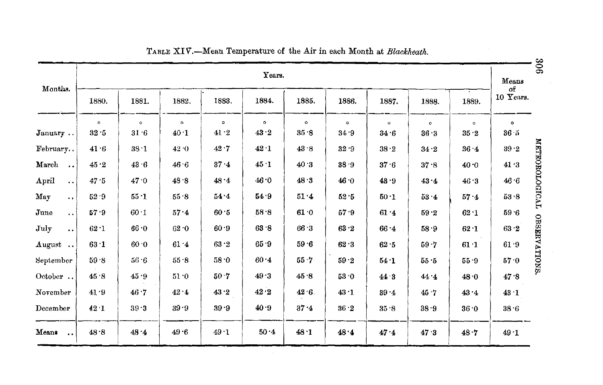| Months.                       |         |          |           |         | Years.  |              |         |          |         |         | Means<br>$of -$ |
|-------------------------------|---------|----------|-----------|---------|---------|--------------|---------|----------|---------|---------|-----------------|
|                               | 1880.   | 1881.    | 1882.     | 1883.   | 1884.   | 1885.        | 1886.   | 1887.    | 1888.   | 1889.   | 10 Years.       |
|                               | $\circ$ | $\circ$  | $\bullet$ | $\circ$ | $\circ$ | $\mathbf{o}$ | $\circ$ | $\circ$  | $\circ$ | $\circ$ | $\circ$         |
| January                       | 32.5    | $31 - 6$ | 40.1      | 41.2    | 43.2    | 35.8         | 34.9    | 34.6     | 36.3    | 35.2    | $36 - 5$        |
| February                      | 41.6    | $38 - 1$ | 42.0      | 42.7    | 42.1    | 43.8         | 32.9    | 38.2     | 34.2    | 36.4    | $39.2$          |
| March<br>$\ddot{\phantom{a}}$ | 45.2    | 43.6     | 46 6      | 37.4    | 45.1    | 40.3         | 38.9    | 37.6     | 37.8    | 40.0    | 41.3            |
| April<br>$\ddot{\phantom{a}}$ | 47.5    | 47.0     | 48.8      | 48.4    | 46.0    | 48.3         | 46.0    | 43.9     | 43.4    | 46.3    | 46.6            |
| May<br>$\ddot{\phantom{0}}$   | 52.9    | $55 - 1$ | $55 - 8$  | 54.4    | 54.9    | 51.4         | 52.5    | 50.1     | 53.4    | 57.4    | 53.8            |
| June<br>$\ddot{\phantom{a}}$  | 57.9    | 60.1     | 57.4      | 60.5    | 58.8    | 61.0         | 57.9    | 61.4     | 59.2    | 62.1    | 59.6            |
| July<br>$\ddot{\phantom{a}}$  | 62.1    | 66.0     | 62.0      | 60.9    | 63.8    | 66.3         | 63.2    | 66.4     | 58.9    | 62.1    | 63.2            |
| August                        | 63.1    | 60.0     | 61.4      | 63.2    | 65.9    | 59.6         | 62.3    | 62.5     | 59.7    | 61.1    | 61.9            |
| September                     | 59.8    | 56.6     | 55.8      | 58.0    | 60.4    | 55.7         | 59.2    | 54.1     | 55.5    | 55.9    | 57.0            |
| October                       | 45.8    | 45.9     | 51.0      | 50.7    | 49.3    | 45.8         | 53.0    | 44.3     | 44.4    | 48.0    | 47.8            |
| November                      | 41.9    | 46.7     | 42.4      | 43.2    | $42\,2$ | 42.6         | 43.1    | $39 - 4$ | 45.7    | 43.4    | 43.1            |
| December                      | 42.1    | 39.3     | 39.9      | 39.9    | 40.9    | $37 - 4$     | 36.2    | 35.8     | 38.9    | 36.0    | 38.6            |
| Means                         | 48.8    | 48.4     | 49.6      | 49.1    | 50.4    | 48.1         | 48.4    | 47.4     | 47.3    | 48.7    | 49.1            |

|  | TABLE XIV.—Mean Temperature of the Air in each Month at Blackheath. |
|--|---------------------------------------------------------------------|
|  |                                                                     |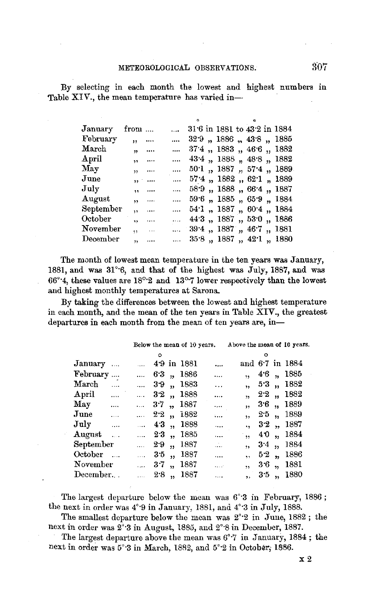By selecting in each month the lowest and highest numbers in Table XIV., the mean temperature has varied in-

|                         |          | $\mathbf{r}$                                                                                                                                                       |                                                          |  |  |                                                                                                                                                                                                                                                                                                                                                                                                                          |
|-------------------------|----------|--------------------------------------------------------------------------------------------------------------------------------------------------------------------|----------------------------------------------------------|--|--|--------------------------------------------------------------------------------------------------------------------------------------------------------------------------------------------------------------------------------------------------------------------------------------------------------------------------------------------------------------------------------------------------------------------------|
| ,                       | $\cdots$ | $\cdots$                                                                                                                                                           |                                                          |  |  |                                                                                                                                                                                                                                                                                                                                                                                                                          |
| $\overline{\mathbf{v}}$ |          |                                                                                                                                                                    |                                                          |  |  |                                                                                                                                                                                                                                                                                                                                                                                                                          |
|                         |          |                                                                                                                                                                    |                                                          |  |  |                                                                                                                                                                                                                                                                                                                                                                                                                          |
|                         |          |                                                                                                                                                                    |                                                          |  |  |                                                                                                                                                                                                                                                                                                                                                                                                                          |
|                         |          |                                                                                                                                                                    |                                                          |  |  |                                                                                                                                                                                                                                                                                                                                                                                                                          |
|                         |          |                                                                                                                                                                    |                                                          |  |  |                                                                                                                                                                                                                                                                                                                                                                                                                          |
|                         |          |                                                                                                                                                                    |                                                          |  |  |                                                                                                                                                                                                                                                                                                                                                                                                                          |
|                         |          |                                                                                                                                                                    |                                                          |  |  |                                                                                                                                                                                                                                                                                                                                                                                                                          |
| $\ddot{\phantom{a}}$    |          |                                                                                                                                                                    |                                                          |  |  |                                                                                                                                                                                                                                                                                                                                                                                                                          |
| ٠,                      |          |                                                                                                                                                                    |                                                          |  |  |                                                                                                                                                                                                                                                                                                                                                                                                                          |
| ۰,                      |          |                                                                                                                                                                    |                                                          |  |  |                                                                                                                                                                                                                                                                                                                                                                                                                          |
|                         |          | from<br>$\cdots$<br>$, 1, 1, \ldots$<br>$\overline{1}$ , $\overline{1}$<br>$\mathbf{a}$<br>$\ddot{\phantom{a}}$<br>$\mathbf{B}$<br>$\sim$ 1000 $\mu$<br>$\sim 100$ | $\cdots$<br>$\cdots$<br>$\cdots$<br>$\cdots$<br>$\cdots$ |  |  | 31.6 in 1881 to 43.2 in 1884<br>$32.9$ , $1886$ , $43.8$ , $1885$<br>$37.4$ , $1883$ , $46.6$ , $1882$<br>43.4 , 1888 , 48.8 , 1882<br>$50.1$ , $1887$ , $57.4$ , $1889$<br>$57.4$ , $1882$ , $62.1$ , $1889$<br>$58.9$ , $1888$ , $66.4$ , $1887$<br>59.6, 1885, 65.9, 1884<br>$\ldots$ 54.1, 1887, 60.4, 1884<br>$\ldots$ 44.3, 1887, 53.0, 1886<br>$\ldots$ 39.4, 1887, 46.7, 1881<br>$\ldots$ 35.8, 1887, 42.1, 1880 |

The month of lowest mean temperature in the ten years was January, 1881, and was 31°·6, and that of the highest was July, 1887, and was 66°·4, these values are 18°·2 and 13°·7 lower respectively than the lowest and highest monthly temperatures at Sarona.

By taking the differences between the lowest and highest temperature in each month, and the mean of the ten years in Table XIV., the greatest departures in each month from the mean of ten years are, in-

|                   |             |              |               |                 |                    | Below the mean of 10 years.     | Above the mean of 10 years. |         |                         |                 |  |
|-------------------|-------------|--------------|---------------|-----------------|--------------------|---------------------------------|-----------------------------|---------|-------------------------|-----------------|--|
|                   |             |              | $\circ$       |                 |                    |                                 |                             | ۰       |                         |                 |  |
| January           |             |              |               |                 | 49 in 1881         |                                 |                             |         |                         | and 6.7 in 1884 |  |
| February          |             |              |               |                 | $$ 6.3, 1886       | $\ddotsc$                       | 11 <sup>1</sup>             | $4.6$ , |                         | 1885            |  |
| ${\rm March}$     | $\cdots$    |              |               |                 | $\ldots$ 3.9, 1883 | $\cdots$                        | $\ddot{\phantom{0}}$        | 53,     |                         | 1882            |  |
| April             |             |              |               |                 | $\ldots$ 32, 1888  | $\cdots$                        | $\ddot{\phantom{0}}$        | 2.2,    |                         | 1882            |  |
| Мау               |             | 3.7,         |               |                 | 1887               |                                 | $\overline{\mathbf{12}}$    | 3.6     | $\overline{\mathbf{z}}$ | 1889            |  |
| $_{\rm June}$     |             |              |               |                 | $\ldots$ 2.2, i882 | $\ddotsc$                       | ٠,                          | 2.5     | $\overline{\mathbf{1}}$ | 1889            |  |
| $\rm\,July$       | $\sim$ 1000 |              |               |                 | $\ldots$ 43, 1888  | $\cdots$                        | ٠s.                         | 32,     |                         | 1887            |  |
| $\rm{August}$     |             |              | $\ldots$ 23,  |                 | 1885               | $\ddotsc$                       | ,                           | 40      | $\mathbf{r}$            | 1884            |  |
| ${\rm September}$ |             |              |               |                 | $\ldots$ 2.9, 1887 | $\mathcal{L}_{\bullet,\bullet}$ | $\ddot{\phantom{0}}$        | $3.4$ , |                         | 1884            |  |
| October           |             | $\mathbf{r}$ | 3.5           | $\overline{11}$ | 1887               |                                 | ٠,                          | 52,     |                         | 1886            |  |
| ${\bf November}$  |             |              |               |                 | $\ldots$ 37, 1887  | a a sh                          | ,                           | $3.6$ , |                         | 1881            |  |
| $\rm December.$ . |             |              | $\ldots$ 2.8, |                 | 1887               | .                               | ٠,                          | 3.5     | $\ddot{\phantom{1}}$    | 1880            |  |
|                   |             |              |               |                 |                    |                                 |                             |         |                         |                 |  |

The largest departure below the mean was 6°·3 in February, 1886 ; the next in order was 4°·9 in January, 1881, and 4°·3 in July, 1888.

The smallest departure below the mean was 2°·2 in June, 1882 ; the next in order was  $2^{\circ}$ :3 in August, 1885, and  $2^{\circ}$ :8 in December, 1887.

The largest departure above the mean was 6°·7 in January, 1884; the next in order was 5°·3 in March, 1882, and 5°·2 in October; 1886.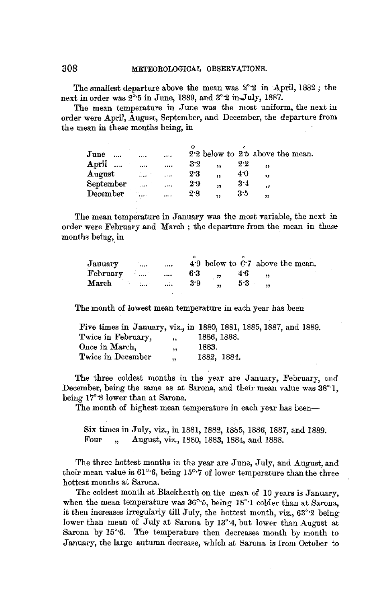## 308 METEOROLOGICAL OBSERVATIONS.

The smallest departure above the mean was 2°·2 in .April, 1882 ; the next in order was  $2^{\circ}$ -5 in June, 1889, and  $3^{\circ}$ -2 in-July, 1887.

The mean temperature in June was the most uniform, the next in order were April, August, September, and December, the departure from the mean in these months being, in

| June<br>$\cdots$ |                       |          |           |            | 2.2 below to 2.5 above the mean. |
|------------------|-----------------------|----------|-----------|------------|----------------------------------|
| April            | $\ldots$              | $\cdots$ | 3.2<br>,, | $2\cdot 2$ |                                  |
| August           | Albert 1              |          | 2.3<br>,, | 40         | ,,                               |
| September        | $\cdots$              | $\cdots$ | 29<br>,,  | 3.4        | د د                              |
| December         | $\sim 10$<br>$\cdots$ | $\cdots$ | 2.8<br>,, | 3.5        | ,,                               |
|                  |                       |          |           |            |                                  |

The mean temperature in January was the most variable, the next in order were February and March ; the departure from the mean in these months being, in

| January  | <b>Contract</b> | $\cdots$        |     |                          |     | 4.9 below to 6.7 above the mean. |
|----------|-----------------|-----------------|-----|--------------------------|-----|----------------------------------|
| February |                 | <b>Contract</b> | 63  | $\overline{\phantom{a}}$ | 46  |                                  |
| March    |                 |                 | 3.9 | $\mathbf{A}$             | 5.3 |                                  |
|          |                 |                 |     |                          |     |                                  |

The month of lowest mean temperature in each year has been

| Five times in January, viz., in 1880, 1881, 1885, 1887, and 1889. |                      |             |  |  |  |
|-------------------------------------------------------------------|----------------------|-------------|--|--|--|
| Twice in February,                                                | $\ddot{\phantom{1}}$ | 1886, 1888. |  |  |  |
| Once in March.                                                    |                      | 1883.       |  |  |  |
| Twice in December                                                 | ۰,                   | 1882, 1884. |  |  |  |

The three coldest months in the year are January, February, and December, being the same as at Sarona, and their mean value was 38"·1, being 17°·8 lower than at Sarona.

The month of highest mean temperature in each year has been-

Six times in July, viz., in 1881, 1882, 18&5, 1886, 1887, and 1889. Four, August, viz., 1880, 1883, 1884, and 1888.

The three hottest months in the year are June, July, and August, and their mean value is 61°·6, being 15°·7 of lower temperature than the three hottest months at Sarona.

The coldest month at Blackheath on the mean of 10 years is January, when the mean temperature was 36°·5, being 18°·1 colder than at Sarona, it then increases irregularly till July, the hottest month, viz., 63°·2 being lower than mean of July at Sarona by 13°4, but lower than August at Sarona by 15°·6. The temperature then decreases month by month to January, the large autumn decrease, which at Sarona is from October to